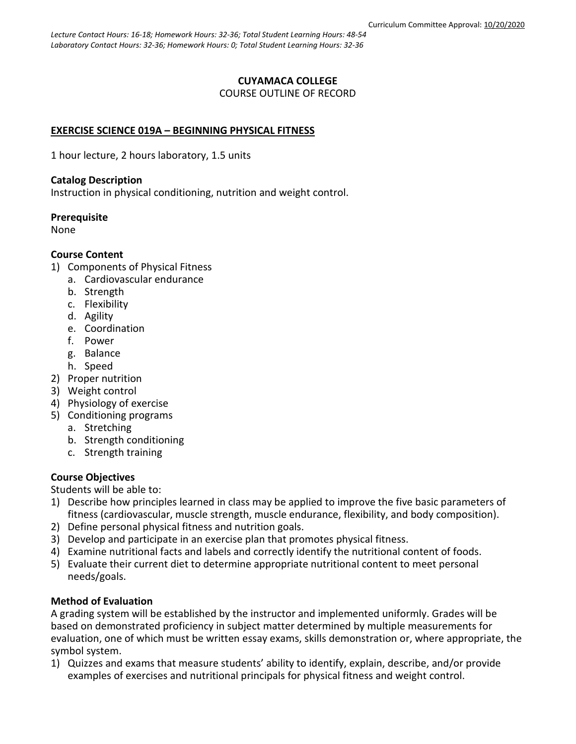### **CUYAMACA COLLEGE** COURSE OUTLINE OF RECORD

# **EXERCISE SCIENCE 019A – BEGINNING PHYSICAL FITNESS**

1 hour lecture, 2 hours laboratory, 1.5 units

### **Catalog Description**

Instruction in physical conditioning, nutrition and weight control.

# **Prerequisite**

None

# **Course Content**

- 1) Components of Physical Fitness
	- a. Cardiovascular endurance
	- b. Strength
	- c. Flexibility
	- d. Agility
	- e. Coordination
	- f. Power
	- g. Balance
	- h. Speed
- 2) Proper nutrition
- 3) Weight control
- 4) Physiology of exercise
- 5) Conditioning programs
	- a. Stretching
	- b. Strength conditioning
	- c. Strength training

# **Course Objectives**

Students will be able to:

- 1) Describe how principles learned in class may be applied to improve the five basic parameters of fitness (cardiovascular, muscle strength, muscle endurance, flexibility, and body composition).
- 2) Define personal physical fitness and nutrition goals.
- 3) Develop and participate in an exercise plan that promotes physical fitness.
- 4) Examine nutritional facts and labels and correctly identify the nutritional content of foods.
- 5) Evaluate their current diet to determine appropriate nutritional content to meet personal needs/goals.

# **Method of Evaluation**

A grading system will be established by the instructor and implemented uniformly. Grades will be based on demonstrated proficiency in subject matter determined by multiple measurements for evaluation, one of which must be written essay exams, skills demonstration or, where appropriate, the symbol system.

1) Quizzes and exams that measure students' ability to identify, explain, describe, and/or provide examples of exercises and nutritional principals for physical fitness and weight control.